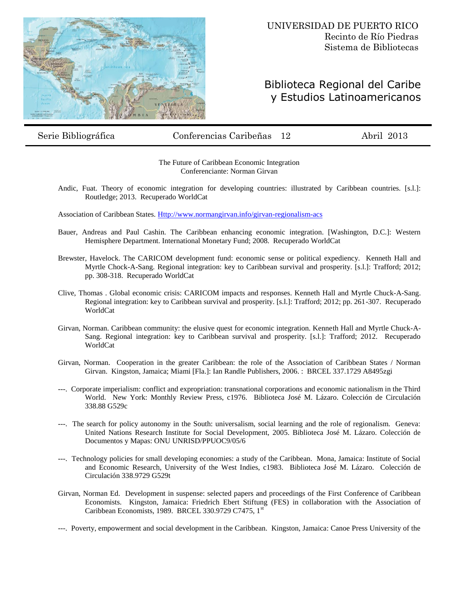

## Biblioteca Regional del Caribe y Estudios Latinoamericanos

## Serie Bibliográfica Conferencias Caribeñas 12 Abril 2013

The Future of Caribbean Economic Integration Conferenciante: Norman Girvan

Andic, Fuat. Theory of economic integration for developing countries: illustrated by Caribbean countries. [s.l.]: Routledge; 2013. Recuperado WorldCat

Association of Caribbean States. [Http://www.normangirvan.info/girvan-regionalism-acs](http://www.normangirvan.info/girvan-regionalism-acs)

- Bauer, Andreas and Paul Cashin. The Caribbean enhancing economic integration. [Washington, D.C.]: Western Hemisphere Department. International Monetary Fund; 2008. Recuperado WorldCat
- Brewster, Havelock. The CARICOM development fund: economic sense or political expediency. Kenneth Hall and Myrtle Chock-A-Sang. Regional integration: key to Caribbean survival and prosperity. [s.l.]: Trafford; 2012; pp. 308-318. Recuperado WorldCat
- Clive, Thomas . Global economic crisis: CARICOM impacts and responses. Kenneth Hall and Myrtle Chuck-A-Sang. Regional integration: key to Caribbean survival and prosperity. [s.l.]: Trafford; 2012; pp. 261-307. Recuperado WorldCat
- Girvan, Norman. Caribbean community: the elusive quest for economic integration. Kenneth Hall and Myrtle Chuck-A-Sang. Regional integration: key to Caribbean survival and prosperity. [s.l.]: Trafford; 2012. Recuperado WorldCat
- Girvan, Norman. Cooperation in the greater Caribbean: the role of the Association of Caribbean States / Norman Girvan. Kingston, Jamaica; Miami [Fla.]: Ian Randle Publishers, 2006. : BRCEL 337.1729 A8495zgi
- ---. Corporate imperialism: conflict and expropriation: transnational corporations and economic nationalism in the Third World. New York: Monthly Review Press, c1976. Biblioteca José M. Lázaro. Colección de Circulación 338.88 G529c
- ---. The search for policy autonomy in the South: universalism, social learning and the role of regionalism. Geneva: United Nations Research Institute for Social Development, 2005. Biblioteca José M. Lázaro. Colección de Documentos y Mapas: ONU UNRISD/PPUOC9/05/6
- ---. Technology policies for small developing economies: a study of the Caribbean. Mona, Jamaica: Institute of Social and Economic Research, University of the West Indies, c1983. Biblioteca José M. Lázaro. Colección de Circulación 338.9729 G529t
- Girvan, Norman Ed. Development in suspense: selected papers and proceedings of the First Conference of Caribbean Economists. Kingston, Jamaica: Friedrich Ebert Stiftung (FES) in collaboration with the Association of Caribbean Economists, 1989. BRCEL 330.9729 C7475, 1st

---. Poverty, empowerment and social development in the Caribbean. Kingston, Jamaica: Canoe Press University of the